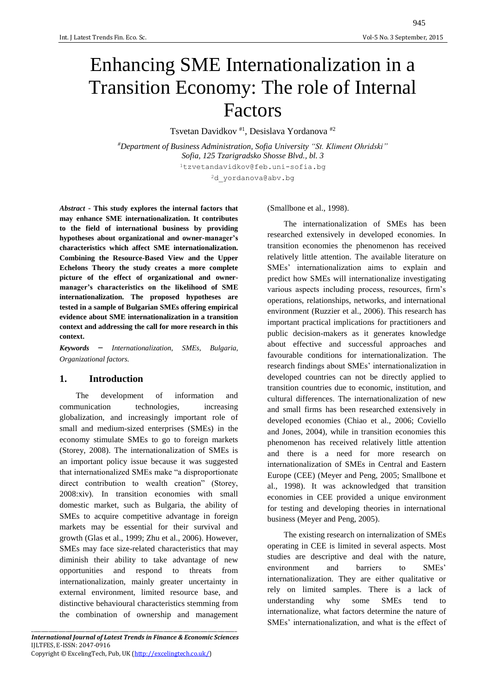# Enhancing SME Internationalization in a Transition Economy: The role of Internal Factors

Tsvetan Davidkov #1, Desislava Yordanova #2

*#Department of Business Administration, Sofia University "St. Kliment Ohridski" Sofia, 125 Tzarigradsko Shosse Blvd., bl. 3* <sup>1</sup>tzvetandavidkov@feb.uni-sofia.bg <sup>2</sup>d\_yordanova@abv.bg

*Abstract* - **This study explores the internal factors that may enhance SME internationalization. It contributes to the field of international business by providing hypotheses about organizational and owner-manager's characteristics which affect SME internationalization. Combining the Resource-Based View and the Upper Echelons Theory the study creates a more complete picture of the effect of organizational and ownermanager's characteristics on the likelihood of SME internationalization. The proposed hypotheses are tested in a sample of Bulgarian SMEs offering empirical evidence about SME internationalization in a transition context and addressing the call for more research in this context.**

*Keywords* – *Internationalization, SMEs, Bulgaria, Organizational factors.*

## **1. Introduction**

The development of information and communication technologies, increasing globalization, and increasingly important role of small and medium-sized enterprises (SMEs) in the economy stimulate SMEs to go to foreign markets (Storey, 2008). The internationalization of SMEs is an important policy issue because it was suggested that internationalized SMEs make "a disproportionate direct contribution to wealth creation" (Storey, 2008:xiv). In transition economies with small domestic market, such as Bulgaria, the ability of SMEs to acquire competitive advantage in foreign markets may be essential for their survival and growth (Glas et al., 1999; Zhu et al., 2006). However, SMEs may face size-related characteristics that may diminish their ability to take advantage of new opportunities and respond to threats from internationalization, mainly greater uncertainty in external environment, limited resource base, and distinctive behavioural characteristics stemming from the combination of ownership and management

(Smallbone et al., 1998).

The internationalization of SMEs has been researched extensively in developed economies. In transition economies the phenomenon has received relatively little attention. The available literature on SMEs' internationalization aims to explain and predict how SMEs will internationalize investigating various aspects including process, resources, firm's operations, relationships, networks, and international environment (Ruzzier et al., 2006). This research has important practical implications for practitioners and public decision-makers as it generates knowledge about effective and successful approaches and favourable conditions for internationalization. The research findings about SMEs' internationalization in developed countries can not be directly applied to transition countries due to economic, institution, and cultural differences. The internationalization of new and small firms has been researched extensively in developed economies (Chiao et al., 2006; Coviello and Jones, 2004), while in transition economies this phenomenon has received relatively little attention and there is a need for more research on internationalization of SMEs in Central and Eastern Europe (CEE) (Meyer and Peng, 2005; Smallbone et al., 1998). It was acknowledged that transition economies in CEE provided a unique environment for testing and developing theories in international business (Meyer and Peng, 2005).

The existing research on internalization of SMEs operating in CEE is limited in several aspects. Most studies are descriptive and deal with the nature, environment and barriers to SMEs' internationalization. They are either qualitative or rely on limited samples. There is a lack of understanding why some SMEs tend to internationalize, what factors determine the nature of SMEs' internationalization, and what is the effect of

\_\_\_\_\_\_\_\_\_\_\_\_\_\_\_\_\_\_\_\_\_\_\_\_\_\_\_\_\_\_\_\_\_\_\_\_\_\_\_\_\_\_\_\_\_\_\_\_\_\_\_\_\_\_\_\_\_\_\_\_\_\_\_\_\_\_\_\_\_\_\_\_\_\_\_\_\_\_\_\_\_\_\_\_ *International Journal of Latest Trends in Finance & Economic Sciences* IJLTFES, E-ISSN: 2047-0916 Copyright © ExcelingTech, Pub, UK [\(http://excelingtech.co.uk/\)](http://excelingtech.co.uk/)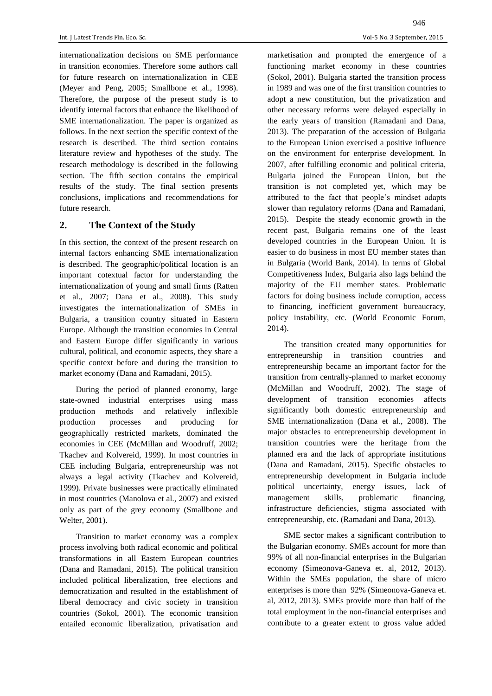internationalization decisions on SME performance in transition economies. Therefore some authors call for future research on internationalization in CEE (Meyer and Peng, 2005; Smallbone et al., 1998). Therefore, the purpose of the present study is to identify internal factors that enhance the likelihood of SME internationalization. The paper is organized as follows. In the next section the specific context of the research is described. The third section contains literature review and hypotheses of the study. The research methodology is described in the following section. The fifth section contains the empirical results of the study. The final section presents conclusions, implications and recommendations for future research.

## **2. The Context of the Study**

In this section, the context of the present research on internal factors enhancing SME internationalization is described. The geographic/political location is an important cotextual factor for understanding the internationalization of young and small firms (Ratten et al., 2007; Dana et al., 2008). This study investigates the internationalization of SMEs in Bulgaria, a transition country situated in Eastern Europe. Although the transition economies in Central and Eastern Europe differ significantly in various cultural, political, and economic aspects, they share a specific context before and during the transition to market economy (Dana and Ramadani, 2015).

During the period of planned economy, large state-owned industrial enterprises using mass production methods and relatively inflexible production processes and producing for geographically restricted markets, dominated the economies in CEE (McMillan and Woodruff, 2002; Tkachev and Kolvereid, 1999). In most countries in CEE including Bulgaria, entrepreneurship was not always a legal activity (Tkachev and Kolvereid, 1999). Private businesses were practically eliminated in most countries (Manolova et al., 2007) and existed only as part of the grey economy (Smallbone and Welter, 2001).

Transition to market economy was a complex process involving both radical economic and political transformations in all Eastern European countries (Dana and Ramadani, 2015). The political transition included political liberalization, free elections and democratization and resulted in the establishment of liberal democracy and civic society in transition countries (Sokol, 2001). The economic transition entailed economic liberalization, privatisation and

marketisation and prompted the emergence of a functioning market economy in these countries (Sokol, 2001). Bulgaria started the transition process in 1989 and was one of the first transition countries to adopt a new constitution, but the privatization and other necessary reforms were delayed especially in the early years of transition (Ramadani and Dana, 2013). The preparation of the accession of Bulgaria to the European Union exercised a positive influence on the environment for enterprise development. In 2007, after fulfilling economic and political criteria, Bulgaria joined the European Union, but the transition is not completed yet, which may be attributed to the fact that people's mindset adapts slower than regulatory reforms (Dana and Ramadani, 2015). Despite the steady economic growth in the recent past, Bulgaria remains one of the least developed countries in the European Union. It is easier to do business in most EU member states than in Bulgaria (World Bank, 2014). In terms of Global Competitiveness Index, Bulgaria also lags behind the majority of the EU member states. Problematic factors for doing business include corruption, access to financing, inefficient government bureaucracy, policy instability, etc. (World Economic Forum, 2014).

The transition created many opportunities for entrepreneurship in transition countries and entrepreneurship became an important factor for the transition from centrally-planned to market economy (McMillan and Woodruff, 2002). The stage of development of transition economies affects significantly both domestic entrepreneurship and SME internationalization (Dana et al., 2008). The major obstacles to entrepreneurship development in transition countries were the heritage from the planned era and the lack of appropriate institutions (Dana and Ramadani, 2015). Specific obstacles to entrepreneurship development in Bulgaria include political uncertainty, energy issues, lack of management skills, problematic financing, infrastructure deficiencies, stigma associated with entrepreneurship, etc. (Ramadani and Dana, 2013).

SME sector makes a significant contribution to the Bulgarian economy. SMEs account for more than 99% of all non-financial enterprises in the Bulgarian economy (Simeonova-Ganeva et. al, 2012, 2013). Within the SMEs population, the share of micro enterprises is more than 92% (Simeonova-Ganeva et. al, 2012, 2013). SMEs provide more than half of the total employment in the non-financial enterprises and contribute to a greater extent to gross value added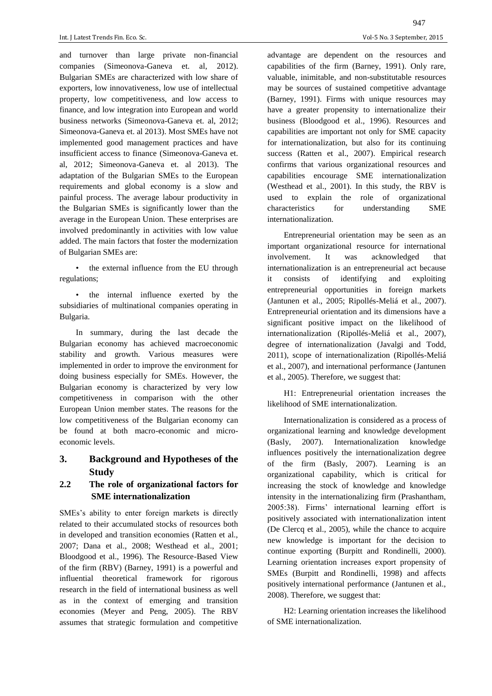and turnover than large private non-financial companies (Simeonova-Ganeva et. al, 2012). Bulgarian SMEs are characterized with low share of exporters, low innovativeness, low use of intellectual property, low competitiveness, and low access to finance, and low integration into European and world business networks (Simeonova-Ganeva et. al, 2012; Simeonova-Ganeva et. al 2013). Most SMEs have not implemented good management practices and have insufficient access to finance (Simeonova-Ganeva et. al, 2012; Simeonova-Ganeva et. al 2013). The adaptation of the Bulgarian SMEs to the European requirements and global economy is a slow and painful process. The average labour productivity in the Bulgarian SMEs is significantly lower than the average in the European Union. These enterprises are involved predominantly in activities with low value added. The main factors that foster the modernization of Bulgarian SMEs are:

• the external influence from the EU through regulations;

• the internal influence exerted by the subsidiaries of multinational companies operating in Bulgaria.

In summary, during the last decade the Bulgarian economy has achieved macroeconomic stability and growth. Various measures were implemented in order to improve the environment for doing business especially for SMEs. However, the Bulgarian economy is characterized by very low competitiveness in comparison with the other European Union member states. The reasons for the low competitiveness of the Bulgarian economy can be found at both macro-economic and microeconomic levels.

## **3. Background and Hypotheses of the Study**

## **2.2 The role of organizational factors for SME internationalization**

SMEs's ability to enter foreign markets is directly related to their accumulated stocks of resources both in developed and transition economies (Ratten et al., 2007; Dana et al., 2008; Westhead et al., 2001; Bloodgood et al., 1996). The Resource-Based View of the firm (RBV) (Barney, 1991) is a powerful and influential theoretical framework for rigorous research in the field of international business as well as in the context of emerging and transition economies (Meyer and Peng, 2005). The RBV assumes that strategic formulation and competitive

advantage are dependent on the resources and capabilities of the firm (Barney, 1991). Only rare, valuable, inimitable, and non-substitutable resources may be sources of sustained competitive advantage (Barney, 1991). Firms with unique resources may have a greater propensity to internationalize their business (Bloodgood et al., 1996). Resources and capabilities are important not only for SME capacity for internationalization, but also for its continuing success (Ratten et al., 2007). Empirical research confirms that various organizational resources and capabilities encourage SME internationalization (Westhead et al., 2001). In this study, the RBV is used to explain the role of organizational characteristics for understanding SME internationalization.

Entrepreneurial orientation may be seen as an important organizational resource for international involvement. It was acknowledged that internationalization is an entrepreneurial act because it consists of identifying and exploiting entrepreneurial opportunities in foreign markets (Jantunen et al., 2005; Ripollés-Meliá et al., 2007). Entrepreneurial orientation and its dimensions have a significant positive impact on the likelihood of internationalization (Ripollés-Meliá et al., 2007), degree of internationalization (Javalgi and Todd, 2011), scope of internationalization (Ripollés-Meliá et al., 2007), and international performance (Jantunen et al., 2005). Therefore, we suggest that:

H1: Entrepreneurial orientation increases the likelihood of SME internationalization.

Internationalization is considered as a process of organizational learning and knowledge development (Basly, 2007). Internationalization knowledge influences positively the internationalization degree of the firm (Basly, 2007). Learning is an organizational capability, which is critical for increasing the stock of knowledge and knowledge intensity in the internationalizing firm (Prashantham, 2005:38). Firms' international learning effort is positively associated with internationalization intent (De Clercq et al., 2005), while the chance to acquire new knowledge is important for the decision to continue exporting (Burpitt and Rondinelli, 2000). Learning orientation increases export propensity of SMEs (Burpitt and Rondinelli, 1998) and affects positively international performance (Jantunen et al., 2008). Therefore, we suggest that:

H2: Learning orientation increases the likelihood of SME internationalization.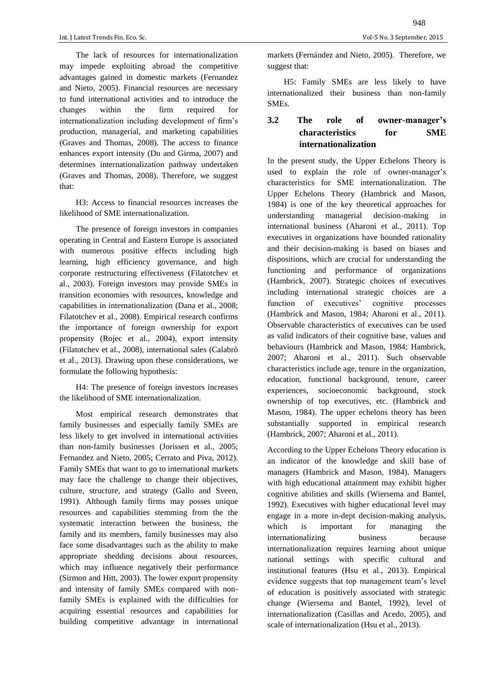The lack of resources for internationalization may impede exploiting abroad the competitive advantages gained in domestic markets (Fernandez and Nieto, 2005). Financial resources are necessary to fund international activities and to introduce the changes within the firm required for internationalization including development of firm's production, managerial, and marketing capabilities (Graves and Thomas, 2008). The access to finance enhances export intensity (Du and Girma, 2007) and determines internationalization pathway undertaken (Graves and Thomas, 2008). Therefore, we suggest that:

H3: Access to financial resources increases the likelihood of SME internationalization.

The presence of foreign investors in companies operating in Central and Eastern Europe is associated with numerous positive effects including high learning, high efficiency governance, and high corporate restructuring effectiveness (Filatotchev et al., 2003). Foreign investors may provide SMEs in transition economies with resources, knowledge and capabilities in internationalization (Dana et al., 2008; Filatotchev et al., 2008). Empirical research confirms the importance of foreign ownership for export propensity (Rojec et al., 2004), export intensity (Filatotchev et al., 2008), international sales (Calabrò et al., 2013). Drawing upon these considerations, we formulate the following hypothesis:

H4: The presence of foreign investors increases the likelihood of SME internationalization.

Most empirical research demonstrates that family businesses and especially family SMEs are less likely to get involved in international activities than non-family businesses (Jorissen et al., 2005; Fernandez and Nieto, 2005; Cerrato and Piva, 2012). Family SMEs that want to go to international markets may face the challenge to change their objectives, culture, structure, and strategy (Gallo and Sveen, 1991). Although family firms may posses unique resources and capabilities stemming from the the systematic interaction between the business, the family and its members, family businesses may also face some disadvantages such as the ability to make appropriate shedding decisions about resources, which may influence negatively their performance (Sirmon and Hitt, 2003). The lower export propensity and intensity of family SMEs compared with nonfamily SMEs is explained with the difficulties for acquiring essential resources and capabilities for building competitive advantage in international markets (Fernández and Nieto, 2005). Therefore, we suggest that:

H5: Family SMEs are less likely to have internationalized their business than non-family SMEs.

# **3.2 The role of owner-manager's characteristics for SME internationalization**

In the present study, the Upper Echelons Theory is used to explain the role of owner-manager's characteristics for SME internationalization. The Upper Echelons Theory (Hambrick and Mason, 1984) is one of the key theoretical approaches for understanding managerial decision-making in international business (Aharoni et al., 2011). Top executives in organizations have bounded rationality and their decision-making is based on biases and dispositions, which are crucial for understanding the functioning and performance of organizations (Hambrick, 2007). Strategic choices of executives including international strategic choices are a function of executives' cognitive processes (Hambrick and Mason, 1984; Aharoni et al., 2011). Observable characteristics of executives can be used as valid indicators of their cognitive base, values and behaviours (Hambrick and Mason, 1984; Hambrick, 2007; Aharoni et al., 2011). Such observable characteristics include age, tenure in the organization, education, functional background, tenure, career experiences, socioeconomic background, stock ownership of top executives, etc. (Hambrick and Mason, 1984). The upper echelons theory has been substantially supported in empirical research (Hambrick, 2007; Aharoni et al., 2011).

According to the Upper Echelons Theory education is an indicator of the knowledge and skill base of managers (Hambrick and Mason, 1984). Managers with high educational attainment may exhibit higher cognitive abilities and skills (Wiersema and Bantel, 1992). Executives with higher educational level may engage in a more in-dept decision-making analysis, which is important for managing the internationalizing business because internationalization requires learning about unique national settings with specific cultural and institutional features (Hsu et al., 2013). Empirical evidence suggests that top management team's level of education is positively associated with strategic change (Wiersema and Bantel, 1992), level of internationalization (Casillas and Acedo, 2005), and scale of internationalization (Hsu et al., 2013).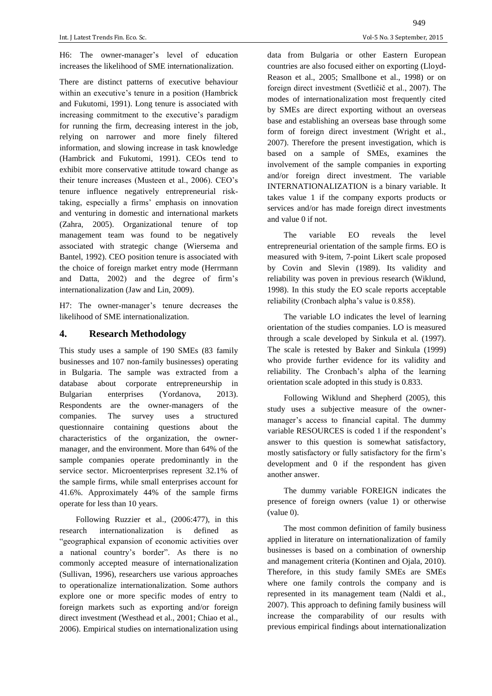H6: The owner-manager's level of education increases the likelihood of SME internationalization.

There are distinct patterns of executive behaviour within an executive's tenure in a position (Hambrick and Fukutomi, 1991). Long tenure is associated with increasing commitment to the executive's paradigm for running the firm, decreasing interest in the job, relying on narrower and more finely filtered information, and slowing increase in task knowledge (Hambrick and Fukutomi, 1991). CEOs tend to exhibit more conservative attitude toward change as their tenure increases (Musteen et al., 2006). CEO's tenure influence negatively entrepreneurial risktaking, especially a firms' emphasis on innovation and venturing in domestic and international markets (Zahra, 2005). Organizational tenure of top management team was found to be negatively associated with strategic change (Wiersema and Bantel, 1992). CEO position tenure is associated with the choice of foreign market entry mode (Herrmann and Datta, 2002) and the degree of firm's internationalization (Jaw and Lin, 2009).

H7: The owner-manager's tenure decreases the likelihood of SME internationalization.

#### **4. Research Methodology**

This study uses a sample of 190 SMEs (83 family businesses and 107 non-family businesses) operating in Bulgaria. The sample was extracted from a database about corporate entrepreneurship in Bulgarian enterprises (Yordanova, 2013). Respondents are the owner-managers of the companies. The survey uses a structured questionnaire containing questions about the characteristics of the organization, the ownermanager, and the environment. More than 64% of the sample companies operate predominantly in the service sector. Microenterprises represent 32.1% of the sample firms, while small enterprises account for 41.6%. Approximately 44% of the sample firms operate for less than 10 years.

Following Ruzzier et al., (2006:477), in this research internationalization is defined as "geographical expansion of economic activities over a national country's border". As there is no commonly accepted measure of internationalization (Sullivan, 1996), researchers use various approaches to operationalize internationalization. Some authors explore one or more specific modes of entry to foreign markets such as exporting and/or foreign direct investment (Westhead et al., 2001; Chiao et al., 2006). Empirical studies on internationalization using

data from Bulgaria or other Eastern European countries are also focused either on exporting (Lloyd-Reason et al., 2005; Smallbone et al., 1998) or on foreign direct investment (Svetličič et al., 2007). The modes of internationalization most frequently cited by SMEs are direct exporting without an overseas base and establishing an overseas base through some form of foreign direct investment (Wright et al., 2007). Therefore the present investigation, which is based on a sample of SMEs, examines the involvement of the sample companies in exporting and/or foreign direct investment. The variable INTERNATIONALIZATION is a binary variable. It takes value 1 if the company exports products or services and/or has made foreign direct investments and value 0 if not.

The variable EO reveals the level entrepreneurial orientation of the sample firms. EO is measured with 9-item, 7-point Likert scale proposed by Covin and Slevin (1989). Its validity and reliability was poven in previous research (Wiklund, 1998). In this study the EO scale reports acceptable reliability (Cronbach alpha's value is 0.858).

The variable LO indicates the level of learning orientation of the studies companies. LO is measured through a scale developed by Sinkula et al. (1997). The scale is retested by Baker and Sinkula (1999) who provide further evidence for its validity and reliability. The Cronbach's alpha of the learning orientation scale adopted in this study is 0.833.

Following Wiklund and Shepherd (2005), this study uses a subjective measure of the ownermanager's access to financial capital. The dummy variable RESOURCES is coded 1 if the respondent's answer to this question is somewhat satisfactory, mostly satisfactory or fully satisfactory for the firm's development and 0 if the respondent has given another answer.

The dummy variable FOREIGN indicates the presence of foreign owners (value 1) or otherwise (value 0).

The most common definition of family business applied in literature on internationalization of family businesses is based on a combination of ownership and management criteria (Kontinen and Ojala, 2010). Therefore, in this study family SMEs are SMEs where one family controls the company and is represented in its management team (Naldi et al., 2007). This approach to defining family business will increase the comparability of our results with previous empirical findings about internationalization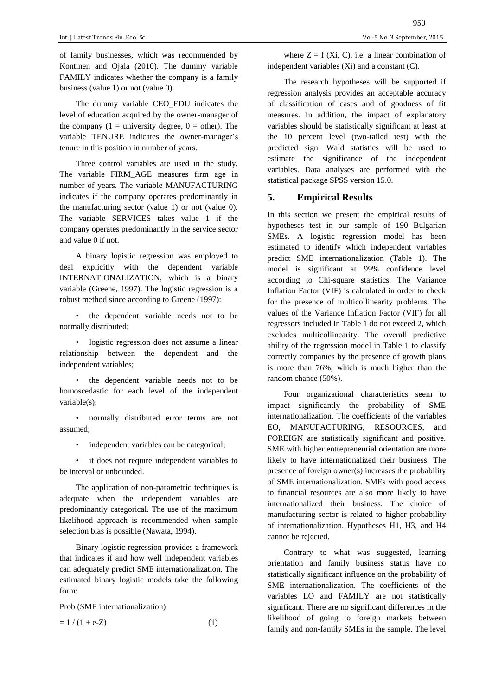of family businesses, which was recommended by Kontinen and Ojala (2010). The dummy variable FAMILY indicates whether the company is a family business (value 1) or not (value 0).

The dummy variable CEO\_EDU indicates the level of education acquired by the owner-manager of the company  $(1 =$  university degree,  $0 =$  other). The variable TENURE indicates the owner-manager's tenure in this position in number of years.

Three control variables are used in the study. The variable FIRM\_AGE measures firm age in number of years. The variable MANUFACTURING indicates if the company operates predominantly in the manufacturing sector (value 1) or not (value 0). The variable SERVICES takes value 1 if the company operates predominantly in the service sector and value 0 if not.

A binary logistic regression was employed to deal explicitly with the dependent variable INTERNATIONALIZATION, which is a binary variable (Greene, 1997). The logistic regression is a robust method since according to Greene (1997):

the dependent variable needs not to be normally distributed;

logistic regression does not assume a linear relationship between the dependent and the independent variables;

the dependent variable needs not to be homoscedastic for each level of the independent variable(s);

• normally distributed error terms are not assumed;

independent variables can be categorical;

• it does not require independent variables to be interval or unbounded.

The application of non-parametric techniques is adequate when the independent variables are predominantly categorical. The use of the maximum likelihood approach is recommended when sample selection bias is possible (Nawata, 1994).

Binary logistic regression provides a framework that indicates if and how well independent variables can adequately predict SME internationalization. The estimated binary logistic models take the following form:

Prob (SME internationalization)

$$
= 1 / (1 + e^{-Z}) \tag{1}
$$

where  $Z = f(X_i, C)$ , i.e. a linear combination of independent variables (Xi) and a constant (C).

The research hypotheses will be supported if regression analysis provides an acceptable accuracy of classification of cases and of goodness of fit measures. In addition, the impact of explanatory variables should be statistically significant at least at the 10 percent level (two-tailed test) with the predicted sign. Wald statistics will be used to estimate the significance of the independent variables. Data analyses are performed with the statistical package SPSS version 15.0.

### **5. Empirical Results**

In this section we present the empirical results of hypotheses test in our sample of 190 Bulgarian SMEs. A logistic regression model has been estimated to identify which independent variables predict SME internationalization (Table 1). The model is significant at 99% confidence level according to Chi-square statistics. The Variance Inflation Factor (VIF) is calculated in order to check for the presence of multicollinearity problems. The values of the Variance Inflation Factor (VIF) for all regressors included in Table 1 do not exceed 2, which excludes multicollinearity. The overall predictive ability of the regression model in Table 1 to classify correctly companies by the presence of growth plans is more than 76%, which is much higher than the random chance (50%).

Four organizational characteristics seem to impact significantly the probability of SME internationalization. The coefficients of the variables EO, MANUFACTURING, RESOURCES, and FOREIGN are statistically significant and positive. SME with higher entrepreneurial orientation are more likely to have internationalized their business. The presence of foreign owner(s) increases the probability of SME internationalization. SMEs with good access to financial resources are also more likely to have internationalized their business. The choice of manufacturing sector is related to higher probability of internationalization. Hypotheses H1, H3, and H4 cannot be rejected.

Contrary to what was suggested, learning orientation and family business status have no statistically significant influence on the probability of SME internationalization. The coefficients of the variables LO and FAMILY are not statistically significant. There are no significant differences in the likelihood of going to foreign markets between family and non-family SMEs in the sample. The level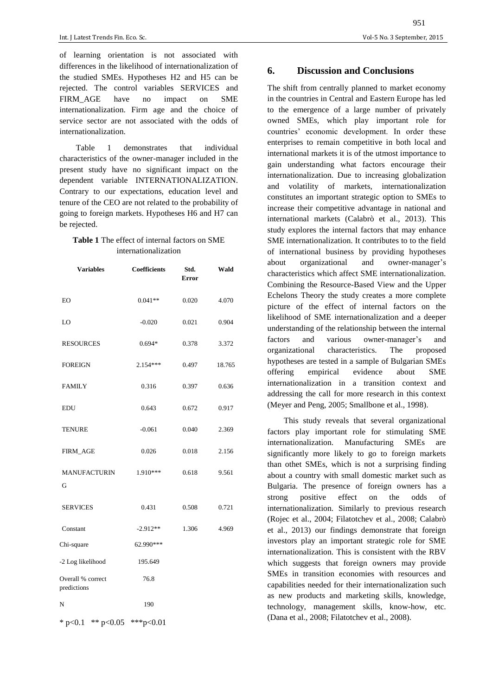of learning orientation is not associated with differences in the likelihood of internationalization of the studied SMEs. Hypotheses H2 and H5 can be rejected. The control variables SERVICES and FIRM AGE have no impact on SME internationalization. Firm age and the choice of service sector are not associated with the odds of internationalization.

Table 1 demonstrates that individual characteristics of the owner-manager included in the present study have no significant impact on the dependent variable INTERNATIONALIZATION. Contrary to our expectations, education level and tenure of the CEO are not related to the probability of going to foreign markets. Hypotheses H6 and H7 can be rejected.

## **Table 1** The effect of internal factors on SME internationalization

| <b>Variables</b>                 | Coefficients | Std.<br><b>Error</b> | Wald   |
|----------------------------------|--------------|----------------------|--------|
| EO                               | $0.041**$    | 0.020                | 4.070  |
| LO                               | $-0.020$     | 0.021                | 0.904  |
| <b>RESOURCES</b>                 | $0.694*$     | 0.378                | 3.372  |
| <b>FOREIGN</b>                   | $2.154***$   | 0.497                | 18.765 |
| <b>FAMILY</b>                    | 0.316        | 0.397                | 0.636  |
| <b>EDU</b>                       | 0.643        | 0.672                | 0.917  |
| TENURE                           | $-0.061$     | 0.040                | 2.369  |
| FIRM_AGE                         | 0.026        | 0.018                | 2.156  |
| <b>MANUFACTURIN</b><br>G         | 1.910***     | 0.618                | 9.561  |
| <b>SERVICES</b>                  | 0.431        | 0.508                | 0.721  |
| Constant                         | $-2.912**$   | 1.306                | 4.969  |
| Chi-square                       | 62.990***    |                      |        |
| -2 Log likelihood                | 195.649      |                      |        |
| Overall % correct<br>predictions | 76.8         |                      |        |
| N                                | 190          |                      |        |
| ** $p<0.05$<br>* $p<0.1$         | ***p<0.01    |                      |        |

#### **6. Discussion and Conclusions**

The shift from centrally planned to market economy in the countries in Central and Eastern Europe has led to the emergence of a large number of privately owned SMEs, which play important role for countries' economic development. In order these enterprises to remain competitive in both local and international markets it is of the utmost importance to gain understanding what factors encourage their internationalization. Due to increasing globalization and volatility of markets, internationalization constitutes an important strategic option to SMEs to increase their competitive advantage in national and international markets (Calabrò et al., 2013). This study explores the internal factors that may enhance SME internationalization. It contributes to to the field of international business by providing hypotheses about organizational and owner-manager's characteristics which affect SME internationalization. Combining the Resource-Based View and the Upper Echelons Theory the study creates a more complete picture of the effect of internal factors on the likelihood of SME internationalization and a deeper understanding of the relationship between the internal factors and various owner-manager's and organizational characteristics. The proposed hypotheses are tested in a sample of Bulgarian SMEs offering empirical evidence about SME internationalization in a transition context and addressing the call for more research in this context (Meyer and Peng, 2005; Smallbone et al., 1998).

This study reveals that several organizational factors play important role for stimulating SME internationalization. Manufacturing SMEs are significantly more likely to go to foreign markets than othet SMEs, which is not a surprising finding about a country with small domestic market such as Bulgaria. The presence of foreign owners has a strong positive effect on the odds of internationalization. Similarly to previous research (Rojec et al., 2004; Filatotchev et al., 2008; Calabrò et al., 2013) our findings demonstrate that foreign investors play an important strategic role for SME internationalization. This is consistent with the RBV which suggests that foreign owners may provide SMEs in transition economies with resources and capabilities needed for their internationalization such as new products and marketing skills, knowledge, technology, management skills, know-how, etc. (Dana et al., 2008; Filatotchev et al., 2008).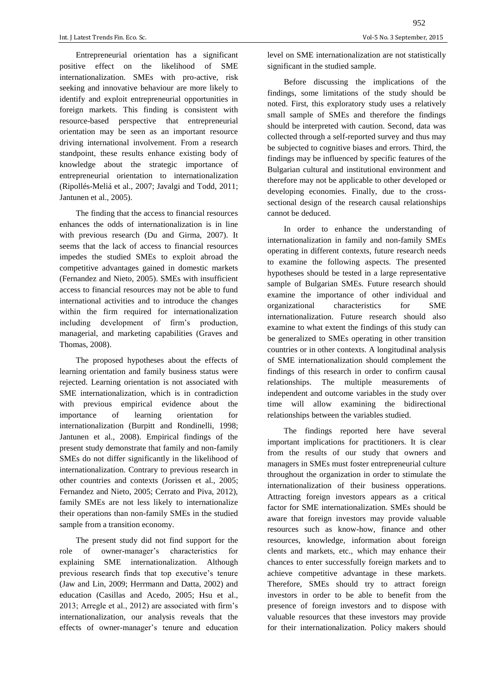Entrepreneurial orientation has a significant positive effect on the likelihood of SME internationalization. SMEs with pro-active, risk seeking and innovative behaviour are more likely to identify and exploit entrepreneurial opportunities in foreign markets. This finding is consistent with resource-based perspective that entrepreneurial orientation may be seen as an important resource driving international involvement. From a research standpoint, these results enhance existing body of knowledge about the strategic importance of entrepreneurial orientation to internationalization (Ripollés-Meliá et al., 2007; Javalgi and Todd, 2011; Jantunen et al., 2005).

The finding that the access to financial resources enhances the odds of internationalization is in line with previous research (Du and Girma, 2007). It seems that the lack of access to financial resources impedes the studied SMEs to exploit abroad the competitive advantages gained in domestic markets (Fernandez and Nieto, 2005). SMEs with insufficient access to financial resources may not be able to fund international activities and to introduce the changes within the firm required for internationalization including development of firm's production, managerial, and marketing capabilities (Graves and Thomas, 2008).

The proposed hypotheses about the effects of learning orientation and family business status were rejected. Learning orientation is not associated with SME internationalization, which is in contradiction with previous empirical evidence about the importance of learning orientation for internationalization (Burpitt and Rondinelli, 1998; Jantunen et al., 2008). Empirical findings of the present study demonstrate that family and non-family SMEs do not differ significantly in the likelihood of internationalization. Contrary to previous research in other countries and contexts (Jorissen et al., 2005; Fernandez and Nieto, 2005; Cerrato and Piva, 2012), family SMEs are not less likely to internationalize their operations than non-family SMEs in the studied sample from a transition economy.

The present study did not find support for the role of owner-manager's characteristics for explaining SME internationalization. Although previous research finds that top executive's tenure (Jaw and Lin, 2009; Herrmann and Datta, 2002) and education (Casillas and Acedo, 2005; Hsu et al., 2013; Arregle et al., 2012) are associated with firm's internationalization, our analysis reveals that the effects of owner-manager's tenure and education level on SME internationalization are not statistically significant in the studied sample.

Before discussing the implications of the findings, some limitations of the study should be noted. First, this exploratory study uses a relatively small sample of SMEs and therefore the findings should be interpreted with caution. Second, data was collected through a self-reported survey and thus may be subjected to cognitive biases and errors. Third, the findings may be influenced by specific features of the Bulgarian cultural and institutional environment and therefore may not be applicable to other developed or developing economies. Finally, due to the crosssectional design of the research causal relationships cannot be deduced.

In order to enhance the understanding of internationalization in family and non-family SMEs operating in different contexts, future research needs to examine the following aspects. The presented hypotheses should be tested in a large representative sample of Bulgarian SMEs. Future research should examine the importance of other individual and organizational characteristics for SME internationalization. Future research should also examine to what extent the findings of this study can be generalized to SMEs operating in other transition countries or in other contexts. A longitudinal analysis of SME internationalization should complement the findings of this research in order to confirm causal relationships. The multiple measurements of independent and outcome variables in the study over time will allow examining the bidirectional relationships between the variables studied.

The findings reported here have several important implications for practitioners. It is clear from the results of our study that owners and managers in SMEs must foster entrepreneurial culture throughout the organization in order to stimulate the internationalization of their business opperations. Attracting foreign investors appears as a critical factor for SME internationalization. SMEs should be aware that foreign investors may provide valuable resources such as know-how, finance and other resources, knowledge, information about foreign clents and markets, etc., which may enhance their chances to enter successfully foreign markets and to achieve competitive advantage in these markets. Therefore, SMEs should try to attract foreign investors in order to be able to benefit from the presence of foreign investors and to dispose with valuable resources that these investors may provide for their internationalization. Policy makers should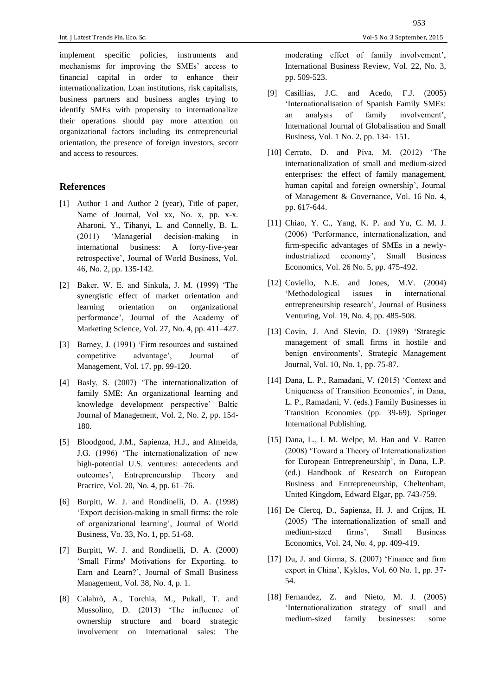implement specific policies, instruments and mechanisms for improving the SMEs' access to financial capital in order to enhance their internationalization. Loan institutions, risk capitalists, business partners and business angles trying to identify SMEs with propensity to internationalize their operations should pay more attention on organizational factors including its entrepreneurial orientation, the presence of foreign investors, secotr and access to resources.

#### **References**

- [1] Author 1 and Author 2 (year), Title of paper*,* Name of Journal, Vol xx, No. x, pp. x-x. Aharoni, Y., Tihanyi, L. and Connelly, B. L. (2011) 'Managerial decision-making in international business: A forty-five-year retrospective', Journal of World Business, Vol. 46, No. 2, pp. 135-142.
- [2] Baker, W. E. and Sinkula, J. M. (1999) 'The synergistic effect of market orientation and learning orientation on organizational performance', Journal of the Academy of Marketing Science, Vol. 27, No. 4, pp. 411–427.
- [3] Barney, J. (1991) 'Firm resources and sustained competitive advantage', Journal of Management, Vol. 17, pp. 99-120.
- [4] Basly, S. (2007) 'The internationalization of family SME: An organizational learning and knowledge development perspective' Baltic Journal of Management, Vol. 2, No. 2, pp. 154- 180.
- [5] Bloodgood, J.M., Sapienza, H.J., and Almeida, J.G. (1996) 'The internationalization of new high-potential U.S. ventures: antecedents and outcomes', Entrepreneurship Theory and Practice, Vol. 20, No. 4, pp. 61–76.
- [6] Burpitt, W. J. and Rondinelli, D. A. (1998) 'Export decision-making in small firms: the role of organizational learning', Journal of World Business, Vo. 33, No. 1, pp. 51-68.
- [7] Burpitt, W. J. and Rondinelli, D. A. (2000) 'Small Firms' Motivations for Exporting. to Earn and Learn?', Journal of Small Business Management, Vol. 38, No. 4, p. 1.
- [8] Calabrò, A., Torchia, M., Pukall, T. and Mussolino, D. (2013) 'The influence of ownership structure and board strategic involvement on international sales: The

953

moderating effect of family involvement', International Business Review, Vol. 22, No. 3, pp. 509-523.

- [9] Casillias, J.C. and Acedo, F.J. (2005) 'Internationalisation of Spanish Family SMEs: an analysis of family involvement', International Journal of Globalisation and Small Business, Vol. 1 No. 2, pp. 134‐ 151.
- [10] Cerrato, D. and Piva, M. (2012) 'The internationalization of small and medium-sized enterprises: the effect of family management, human capital and foreign ownership', Journal of Management & Governance, Vol. 16 No. 4, pp. 617-644.
- [11] Chiao, Y. C., Yang, K. P. and Yu, C. M. J. (2006) 'Performance, internationalization, and firm-specific advantages of SMEs in a newlyindustrialized economy', Small Business Economics, Vol. 26 No. 5, pp. 475-492.
- [12] Coviello, N.E. and Jones, M.V. (2004) 'Methodological issues in international entrepreneurship research', Journal of Business Venturing, Vol. 19, No. 4, pp. 485-508.
- [13] Covin, J. And Slevin, D. (1989) 'Strategic management of small firms in hostile and benign environments', Strategic Management Journal, Vol. 10, No. 1, pp. 75-87.
- [14] Dana, L. P., Ramadani, V. (2015) 'Context and Uniqueness of Transition Economies', in Dana, L. P., Ramadani, V. (eds.) Family Businesses in Transition Economies (pp. 39-69). Springer International Publishing.
- [15] Dana, L., I. M. Welpe, M. Han and V. Ratten (2008) 'Toward a Theory of Internationalization for European Entrepreneurship', in Dana, L.P. (ed.) Handbook of Research on European Business and Entrepreneurship, Cheltenham, United Kingdom, Edward Elgar, pp. 743-759.
- [16] De Clercq, D., Sapienza, H. J. and Crijns, H. (2005) 'The internationalization of small and medium-sized firms', Small Business Economics, Vol. 24, No. 4, pp. 409-419.
- [17] Du, J. and Girma, S. (2007) 'Finance and firm export in China', Kyklos, Vol. 60 No. 1, pp. 37- 54.
- [18] Fernandez, Z. and Nieto, M. J. (2005) 'Internationalization strategy of small and medium-sized family businesses: some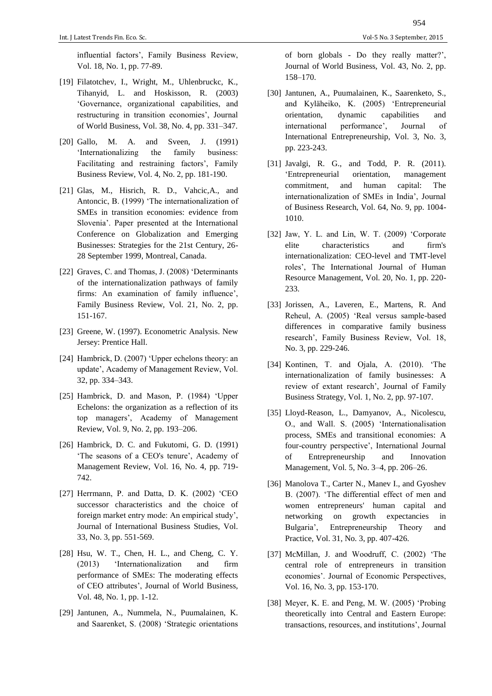influential factors', Family Business Review, Vol. 18, No. 1, pp. 77-89.

- [19] Filatotchev, I., Wright, M., Uhlenbruckc, K., Tihanyid, L. and Hoskisson, R. (2003) 'Governance, organizational capabilities, and restructuring in transition economies', Journal of World Business, Vol. 38, No. 4, pp. 331–347.
- [20] Gallo, M. A. and Sveen, J. (1991) 'Internationalizing the family business: Facilitating and restraining factors', Family Business Review, Vol. 4, No. 2, pp. 181-190.
- [21] Glas, M., Hisrich, R. D., Vahcic,A., and Antoncic, B. (1999) 'The internationalization of SMEs in transition economies: evidence from Slovenia'. Paper presented at the International Conference on Globalization and Emerging Businesses: Strategies for the 21st Century, 26- 28 September 1999, Montreal, Canada.
- [22] Graves, C. and Thomas, J. (2008) 'Determinants of the internationalization pathways of family firms: An examination of family influence', Family Business Review, Vol. 21, No. 2, pp. 151-167.
- [23] Greene, W. (1997). Econometric Analysis. New Jersey: Prentice Hall.
- [24] Hambrick, D. (2007) 'Upper echelons theory: an update', Academy of Management Review, Vol. 32, pp. 334–343.
- [25] Hambrick, D. and Mason, P. (1984) 'Upper Echelons: the organization as a reflection of its top managers', Academy of Management Review, Vol. 9, No. 2, pp. 193–206.
- [26] Hambrick, D. C. and Fukutomi, G. D. (1991) 'The seasons of a CEO's tenure', Academy of Management Review, Vol. 16, No. 4, pp. 719- 742.
- [27] Herrmann, P. and Datta, D. K. (2002) 'CEO successor characteristics and the choice of foreign market entry mode: An empirical study', Journal of International Business Studies, Vol. 33, No. 3, pp. 551-569.
- [28] Hsu, W. T., Chen, H. L., and Cheng, C. Y. (2013) 'Internationalization and firm performance of SMEs: The moderating effects of CEO attributes', Journal of World Business, Vol. 48, No. 1, pp. 1-12.
- [29] Jantunen, A., Nummela, N., Puumalainen, K. and Saarenket, S. (2008) 'Strategic orientations

of born globals - Do they really matter?', Journal of World Business, Vol. 43, No. 2, pp. 158–170.

- [30] Jantunen, A., Puumalainen, K., Saarenketo, S., and Kyläheiko, K. (2005) 'Entrepreneurial orientation, dynamic capabilities and international performance', Journal of International Entrepreneurship, Vol. 3, No. 3, pp. 223-243.
- [31] Javalgi, R. G., and Todd, P. R. (2011). 'Entrepreneurial orientation, management commitment, and human capital: The internationalization of SMEs in India', Journal of Business Research, Vol. 64, No. 9, pp. 1004- 1010.
- [32] Jaw, Y. L. and Lin, W. T. (2009) 'Corporate elite characteristics and firm's internationalization: CEO-level and TMT-level roles', The International Journal of Human Resource Management, Vol. 20, No. 1, pp. 220- 233.
- [33] Jorissen, A., Laveren, E., Martens, R. And Reheul, A. (2005) 'Real versus sample-based differences in comparative family business research', Family Business Review, Vol. 18, No. 3, pp. 229-246.
- [34] Kontinen, T. and Ojala, A. (2010). 'The internationalization of family businesses: A review of extant research', Journal of Family Business Strategy, Vol. 1, No. 2, pp. 97-107.
- [35] Lloyd-Reason, L., Damyanov, A., Nicolescu, O., and Wall. S. (2005) 'Internationalisation process, SMEs and transitional economies: A four-country perspective', International Journal of Entrepreneurship and Innovation Management, Vol. 5, No. 3–4, pp. 206–26.
- [36] Manolova T., Carter N., Manev I., and Gyoshev B. (2007). 'The differential effect of men and women entrepreneurs' human capital and networking on growth expectancies in Bulgaria', Entrepreneurship Theory and Practice, Vol. 31, No. 3, pp. 407-426.
- [37] McMillan, J. and Woodruff, C. (2002) 'The central role of entrepreneurs in transition economies'. Journal of Economic Perspectives, Vol. 16, No. 3, pp. 153-170.
- [38] Meyer, K. E. and Peng, M. W. (2005) 'Probing theoretically into Central and Eastern Europe: transactions, resources, and institutions', Journal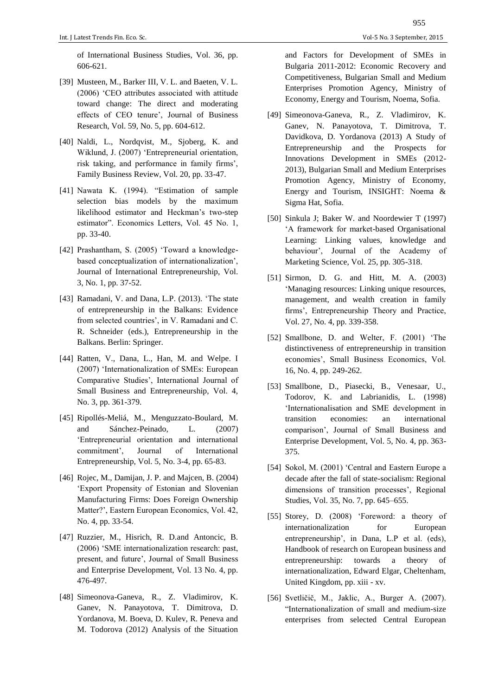of International Business Studies, Vol. 36, pp. 606-621.

- [39] Musteen, M., Barker III, V. L. and Baeten, V. L. (2006) 'CEO attributes associated with attitude toward change: The direct and moderating effects of CEO tenure', Journal of Business Research, Vol. 59, No. 5, pp. 604-612.
- [40] Naldi, L., Nordqvist, M., Sjoberg, K. and Wiklund, J. (2007) 'Entrepreneurial orientation, risk taking, and performance in family firms', Family Business Review, Vol. 20, pp. 33-47.
- [41] Nawata K. (1994). "Estimation of sample selection bias models by the maximum likelihood estimator and Heckman's two-step estimator". Economics Letters, Vol. 45 No. 1, pp. 33-40.
- [42] Prashantham, S. (2005) 'Toward a knowledgebased conceptualization of internationalization', Journal of International Entrepreneurship, Vol. 3, No. 1, pp. 37-52.
- [43] Ramadani, V. and Dana, L.P. (2013). 'The state of entrepreneurship in the Balkans: Evidence from selected countries', in V. Ramadani and C. R. Schneider (eds.), Entrepreneurship in the Balkans. Berlin: Springer.
- [44] Ratten, V., Dana, L., Han, M. and Welpe. I (2007) 'Internationalization of SMEs: European Comparative Studies', International Journal of Small Business and Entrepreneurship, Vol. 4, No. 3, pp. 361-379.
- [45] Ripollés-Meliá, M., Menguzzato-Boulard, M. and Sánchez-Peinado, L. (2007) 'Entrepreneurial orientation and international commitment', Journal of International Entrepreneurship, Vol. 5, No. 3-4, pp. 65-83.
- [46] Rojec, M., Damijan, J. P. and Majcen, B. (2004) 'Export Propensity of Estonian and Slovenian Manufacturing Firms: Does Foreign Ownership Matter?', Eastern European Economics, Vol. 42, No. 4, pp. 33-54.
- [47] Ruzzier, M., Hisrich, R. D.and Antoncic, B. (2006) 'SME internationalization research: past, present, and future', Journal of Small Business and Enterprise Development, Vol. 13 No. 4, pp. 476-497.
- [48] Simeonova-Ganeva, R., Z. Vladimirov, K. Ganev, N. Panayotova, T. Dimitrova, D. Yordanova, M. Boeva, D. Kulev, R. Peneva and M. Todorova (2012) Analysis of the Situation

and Factors for Development of SMEs in Bulgaria 2011-2012: Economic Recovery and Competitiveness, Bulgarian Small and Medium Enterprises Promotion Agency, Ministry of Economy, Energy and Tourism, Noema, Sofia.

- [49] Simeonova-Ganeva, R., Z. Vladimirov, K. Ganev, N. Panayotova, T. Dimitrova, T. Davidkova, D. Yordanova (2013) A Study of Entrepreneurship and the Prospects for Innovations Development in SMEs (2012- 2013), Bulgarian Small and Medium Enterprises Promotion Agency, Ministry of Economy, Energy and Tourism, INSIGHT: Noema & Sigma Hat, Sofia.
- [50] Sinkula J; Baker W. and Noordewier T (1997) 'A framework for market-based Organisational Learning: Linking values, knowledge and behaviour', Journal of the Academy of Marketing Science, Vol. 25, pp. 305-318.
- [51] Sirmon, D. G. and Hitt, M. A. (2003) 'Managing resources: Linking unique resources, management, and wealth creation in family firms', Entrepreneurship Theory and Practice, Vol. 27, No. 4, pp. 339-358.
- [52] Smallbone, D. and Welter, F. (2001) 'The distinctiveness of entrepreneurship in transition economies', Small Business Economics, Vol. 16, No. 4, pp. 249-262.
- [53] Smallbone, D., Piasecki, B., Venesaar, U., Todorov, K. and Labrianidis, L. (1998) 'Internationalisation and SME development in transition economies: an international comparison', Journal of Small Business and Enterprise Development, Vol. 5, No. 4, pp. 363- 375.
- [54] Sokol, M. (2001) 'Central and Eastern Europe a decade after the fall of state-socialism: Regional dimensions of transition processes', Regional Studies, Vol. 35, No. 7, pp. 645–655.
- [55] Storey, D. (2008) 'Foreword: a theory of internationalization for European entrepreneurship', in Dana, L.P et al. (eds), Handbook of research on European business and entrepreneurship: towards a theory of internationalization, Edward Elgar, Cheltenham, United Kingdom, pp. xiii - xv.
- [56] Svetličič, M., Jaklic, A., Burger A. (2007). "Internationalization of small and medium-size enterprises from selected Central European